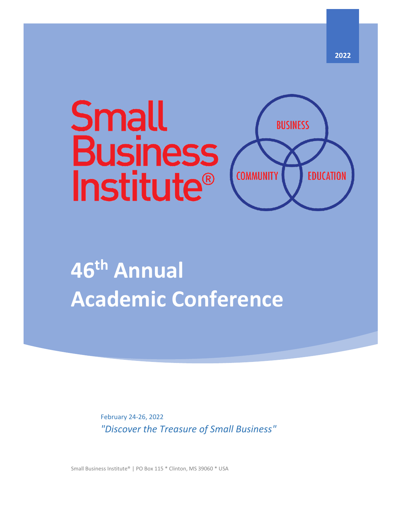# **Small<br>Business** Institute®



**46th Annual Academic Conference**

> February 24-26, 2022 *"Discover the Treasure of Small Business"*

Small Business Institute® | PO Box 115 \* Clinton, MS 39060 \* USA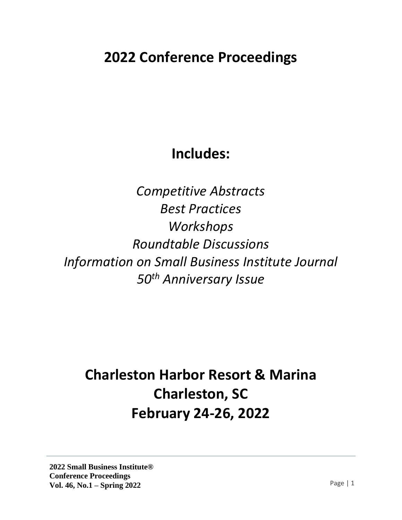# **2022 Conference Proceedings**

# **Includes:**

*Competitive Abstracts Best Practices Workshops Roundtable Discussions Information on Small Business Institute Journal 50th Anniversary Issue*

# **Charleston Harbor Resort & Marina Charleston, SC February 24-26, 2022**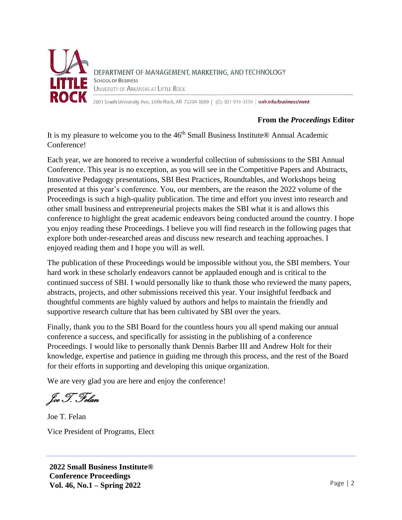

#### **From the** *Proceedings* **Editor**

It is my pleasure to welcome you to the 46<sup>th</sup> Small Business Institute<sup>®</sup> Annual Academic Conference!

Each year, we are honored to receive a wonderful collection of submissions to the SBI Annual Conference. This year is no exception, as you will see in the Competitive Papers and Abstracts, Innovative Pedagogy presentations, SBI Best Practices, Roundtables, and Workshops being presented at this year's conference. You, our members, are the reason the 2022 volume of the Proceedings is such a high-quality publication. The time and effort you invest into research and other small business and entrepreneurial projects makes the SBI what it is and allows this conference to highlight the great academic endeavors being conducted around the country. I hope you enjoy reading these Proceedings. I believe you will find research in the following pages that explore both under-researched areas and discuss new research and teaching approaches. I enjoyed reading them and I hope you will as well.

The publication of these Proceedings would be impossible without you, the SBI members. Your hard work in these scholarly endeavors cannot be applauded enough and is critical to the continued success of SBI. I would personally like to thank those who reviewed the many papers, abstracts, projects, and other submissions received this year. Your insightful feedback and thoughtful comments are highly valued by authors and helps to maintain the friendly and supportive research culture that has been cultivated by SBI over the years.

Finally, thank you to the SBI Board for the countless hours you all spend making our annual conference a success, and specifically for assisting in the publishing of a conference Proceedings. I would like to personally thank Dennis Barber III and Andrew Holt for their knowledge, expertise and patience in guiding me through this process, and the rest of the Board for their efforts in supporting and developing this unique organization.

We are very glad you are here and enjoy the conference!

Joe T. Felan

Joe T. Felan Vice President of Programs, Elect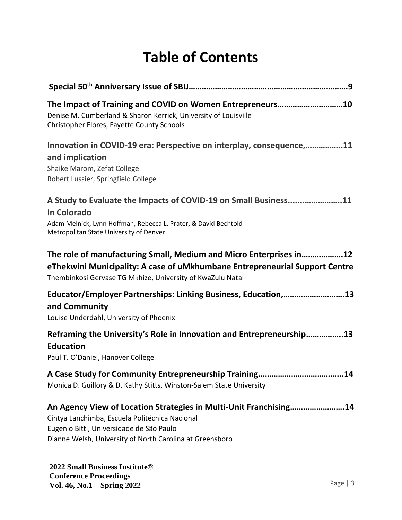# **Table of Contents**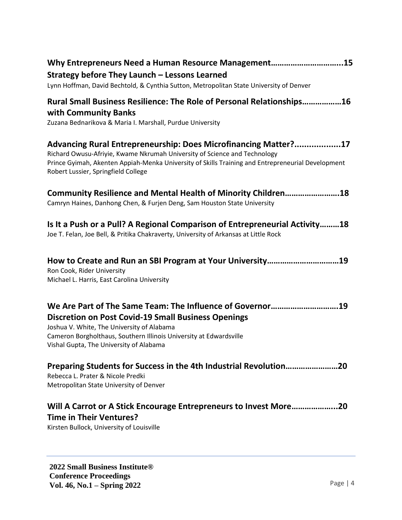| Why Entrepreneurs Need a Human Resource Management15                                                                                                                                                                                                                                     |
|------------------------------------------------------------------------------------------------------------------------------------------------------------------------------------------------------------------------------------------------------------------------------------------|
| Strategy before They Launch - Lessons Learned<br>Lynn Hoffman, David Bechtold, & Cynthia Sutton, Metropolitan State University of Denver                                                                                                                                                 |
| Rural Small Business Resilience: The Role of Personal Relationships16<br>with Community Banks<br>Zuzana Bednarikova & Maria I. Marshall, Purdue University                                                                                                                               |
| Advancing Rural Entrepreneurship: Does Microfinancing Matter?17<br>Richard Owusu-Afriyie, Kwame Nkrumah University of Science and Technology<br>Prince Gyimah, Akenten Appiah-Menka University of Skills Training and Entrepreneurial Development<br>Robert Lussier, Springfield College |
| Community Resilience and Mental Health of Minority Children18<br>Camryn Haines, Danhong Chen, & Furjen Deng, Sam Houston State University                                                                                                                                                |
| Is It a Push or a Pull? A Regional Comparison of Entrepreneurial Activity18<br>Joe T. Felan, Joe Bell, & Pritika Chakraverty, University of Arkansas at Little Rock                                                                                                                      |
| How to Create and Run an SBI Program at Your University19<br>Ron Cook, Rider University<br>Michael L. Harris, East Carolina University                                                                                                                                                   |
| We Are Part of The Same Team: The Influence of Governor19<br><b>Discretion on Post Covid-19 Small Business Openings</b><br>Joshua V. White, The University of Alabama<br>Cameron Borgholthaus, Southern Illinois University at Edwardsville<br>Vishal Gupta, The University of Alabama   |
| Preparing Students for Success in the 4th Industrial Revolution20<br>Rebecca L. Prater & Nicole Predki<br>Metropolitan State University of Denver                                                                                                                                        |
| Will A Carrot or A Stick Encourage Entrepreneurs to Invest More20<br><b>Time in Their Ventures?</b><br>Kirsten Bullock, University of Louisville                                                                                                                                         |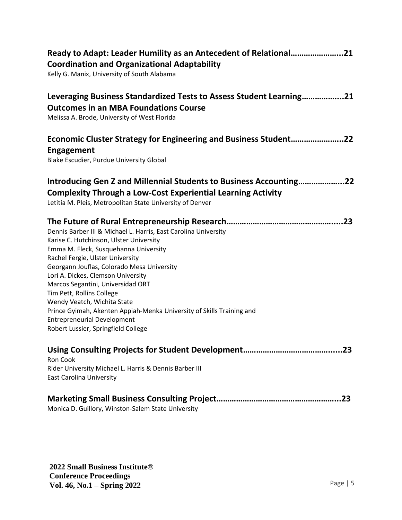| Ready to Adapt: Leader Humility as an Antecedent of Relational21<br><b>Coordination and Organizational Adaptability</b><br>Kelly G. Manix, University of South Alabama                                                                                                                                                                                                                                                                                                                                                             |
|------------------------------------------------------------------------------------------------------------------------------------------------------------------------------------------------------------------------------------------------------------------------------------------------------------------------------------------------------------------------------------------------------------------------------------------------------------------------------------------------------------------------------------|
| Leveraging Business Standardized Tests to Assess Student Learning21<br><b>Outcomes in an MBA Foundations Course</b><br>Melissa A. Brode, University of West Florida                                                                                                                                                                                                                                                                                                                                                                |
| Economic Cluster Strategy for Engineering and Business Student22<br><b>Engagement</b><br>Blake Escudier, Purdue University Global                                                                                                                                                                                                                                                                                                                                                                                                  |
| Introducing Gen Z and Millennial Students to Business Accounting22<br><b>Complexity Through a Low-Cost Experiential Learning Activity</b><br>Letitia M. Pleis, Metropolitan State University of Denver                                                                                                                                                                                                                                                                                                                             |
| Dennis Barber III & Michael L. Harris, East Carolina University<br>Karise C. Hutchinson, Ulster University<br>Emma M. Fleck, Susquehanna University<br>Rachel Fergie, Ulster University<br>Georgann Jouflas, Colorado Mesa University<br>Lori A. Dickes, Clemson University<br>Marcos Segantini, Universidad ORT<br>Tim Pett, Rollins College<br>Wendy Veatch, Wichita State<br>Prince Gyimah, Akenten Appiah-Menka University of Skills Training and<br><b>Entrepreneurial Development</b><br>Robert Lussier, Springfield College |
| Ron Cook<br>Rider University Michael L. Harris & Dennis Barber III<br><b>East Carolina University</b>                                                                                                                                                                                                                                                                                                                                                                                                                              |
| Monica D. Guillory, Winston-Salem State University                                                                                                                                                                                                                                                                                                                                                                                                                                                                                 |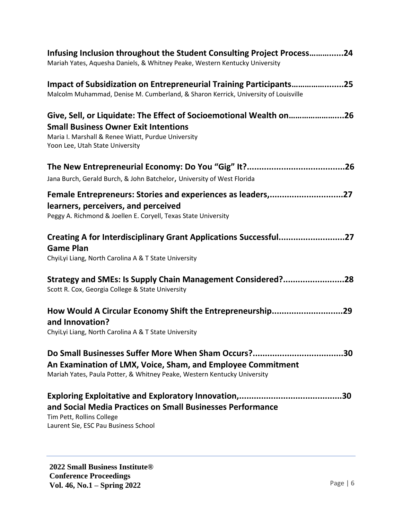| Infusing Inclusion throughout the Student Consulting Project Process24<br>Mariah Yates, Aquesha Daniels, & Whitney Peake, Western Kentucky University                                                      |
|------------------------------------------------------------------------------------------------------------------------------------------------------------------------------------------------------------|
| Impact of Subsidization on Entrepreneurial Training Participants25<br>Malcolm Muhammad, Denise M. Cumberland, & Sharon Kerrick, University of Louisville                                                   |
| Give, Sell, or Liquidate: The Effect of Socioemotional Wealth on26<br><b>Small Business Owner Exit Intentions</b><br>Maria I. Marshall & Renee Wiatt, Purdue University<br>Yoon Lee, Utah State University |
| Jana Burch, Gerald Burch, & John Batchelor, University of West Florida                                                                                                                                     |
| Female Entrepreneurs: Stories and experiences as leaders,27<br>learners, perceivers, and perceived<br>Peggy A. Richmond & Joellen E. Coryell, Texas State University                                       |
| Creating A for Interdisciplinary Grant Applications Successful27<br><b>Game Plan</b><br>ChyiLyi Liang, North Carolina A & T State University                                                               |
| Strategy and SMEs: Is Supply Chain Management Considered?28<br>Scott R. Cox, Georgia College & State University                                                                                            |
| How Would A Circular Economy Shift the Entrepreneurship29<br>and Innovation?<br>ChyiLyi Liang, North Carolina A & T State University                                                                       |
| An Examination of LMX, Voice, Sham, and Employee Commitment<br>Mariah Yates, Paula Potter, & Whitney Peake, Western Kentucky University                                                                    |
| and Social Media Practices on Small Businesses Performance<br>Tim Pett, Rollins College<br>Laurent Sie, ESC Pau Business School                                                                            |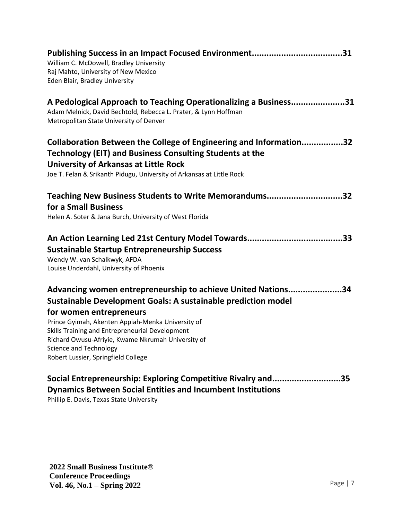| William C. McDowell, Bradley University<br>Raj Mahto, University of New Mexico<br>Eden Blair, Bradley University                                                                                                                                                                                                                                                                                      |
|-------------------------------------------------------------------------------------------------------------------------------------------------------------------------------------------------------------------------------------------------------------------------------------------------------------------------------------------------------------------------------------------------------|
| A Pedological Approach to Teaching Operationalizing a Business31<br>Adam Melnick, David Bechtold, Rebecca L. Prater, & Lynn Hoffman<br>Metropolitan State University of Denver                                                                                                                                                                                                                        |
| Collaboration Between the College of Engineering and Information32<br><b>Technology (EIT) and Business Consulting Students at the</b><br><b>University of Arkansas at Little Rock</b><br>Joe T. Felan & Srikanth Pidugu, University of Arkansas at Little Rock                                                                                                                                        |
| Teaching New Business Students to Write Memorandums32<br>for a Small Business<br>Helen A. Soter & Jana Burch, University of West Florida                                                                                                                                                                                                                                                              |
| <b>Sustainable Startup Entrepreneurship Success</b><br>Wendy W. van Schalkwyk, AFDA<br>Louise Underdahl, University of Phoenix                                                                                                                                                                                                                                                                        |
| Advancing women entrepreneurship to achieve United Nations34<br><b>Sustainable Development Goals: A sustainable prediction model</b><br>for women entrepreneurs<br>Prince Gyimah, Akenten Appiah-Menka University of<br>Skills Training and Entrepreneurial Development<br>Richard Owusu-Afriyie, Kwame Nkrumah University of<br><b>Science and Technology</b><br>Robert Lussier, Springfield College |
| Social Entrepreneurship: Exploring Competitive Rivalry and35                                                                                                                                                                                                                                                                                                                                          |

**Dynamics Between Social Entities and Incumbent Institutions**

Phillip E. Davis, Texas State University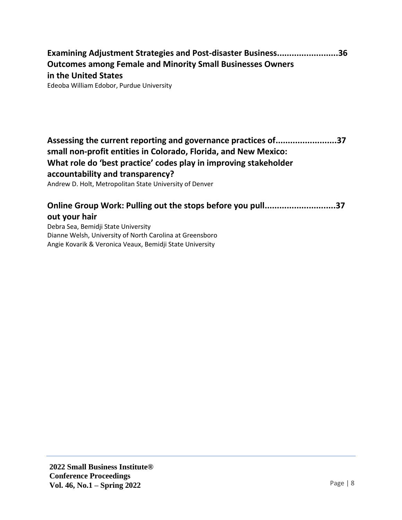# **Examining Adjustment Strategies and Post-disaster Business.........................36 Outcomes among Female and Minority Small Businesses Owners in the United States**

Edeoba William Edobor, Purdue University

# **Assessing the current reporting and governance practices of.........................37 small non-profit entities in Colorado, Florida, and New Mexico: What role do 'best practice' codes play in improving stakeholder accountability and transparency?** Andrew D. Holt, Metropolitan State University of Denver

# **Online Group Work: Pulling out the stops before you pull.............................37 out your hair**

Debra Sea, Bemidji State University Dianne Welsh, University of North Carolina at Greensboro Angie Kovarik & Veronica Veaux, Bemidji State University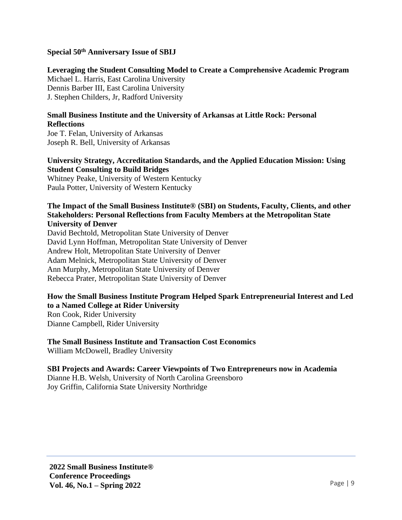#### **Special 50th Anniversary Issue of SBIJ**

#### **Leveraging the Student Consulting Model to Create a Comprehensive Academic Program** Michael L. Harris, East Carolina University Dennis Barber III, East Carolina University J. Stephen Childers, Jr, Radford University

#### **Small Business Institute and the University of Arkansas at Little Rock: Personal Reflections**

Joe T. Felan, University of Arkansas Joseph R. Bell, University of Arkansas

#### **University Strategy, Accreditation Standards, and the Applied Education Mission: Using Student Consulting to Build Bridges**

Whitney Peake, University of Western Kentucky Paula Potter, University of Western Kentucky

#### **The Impact of the Small Business Institute® (SBI) on Students, Faculty, Clients, and other Stakeholders: Personal Reflections from Faculty Members at the Metropolitan State University of Denver**

David Bechtold, Metropolitan State University of Denver David Lynn Hoffman, Metropolitan State University of Denver Andrew Holt, Metropolitan State University of Denver Adam Melnick, Metropolitan State University of Denver Ann Murphy, Metropolitan State University of Denver Rebecca Prater, Metropolitan State University of Denver

# **How the Small Business Institute Program Helped Spark Entrepreneurial Interest and Led to a Named College at Rider University**

Ron Cook, Rider University Dianne Campbell, Rider University

#### **The Small Business Institute and Transaction Cost Economics** William McDowell, Bradley University

#### **SBI Projects and Awards: Career Viewpoints of Two Entrepreneurs now in Academia**

Dianne H.B. Welsh, University of North Carolina Greensboro Joy Griffin, California State University Northridge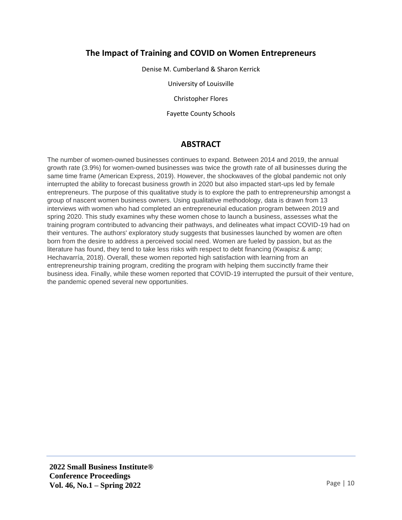# **The Impact of Training and COVID on Women Entrepreneurs**

Denise M. Cumberland & Sharon Kerrick

University of Louisville

Christopher Flores

Fayette County Schools

# **ABSTRACT**

The number of women-owned businesses continues to expand. Between 2014 and 2019, the annual growth rate (3.9%) for women-owned businesses was twice the growth rate of all businesses during the same time frame (American Express, 2019). However, the shockwaves of the global pandemic not only interrupted the ability to forecast business growth in 2020 but also impacted start-ups led by female entrepreneurs. The purpose of this qualitative study is to explore the path to entrepreneurship amongst a group of nascent women business owners. Using qualitative methodology, data is drawn from 13 interviews with women who had completed an entrepreneurial education program between 2019 and spring 2020. This study examines why these women chose to launch a business, assesses what the training program contributed to advancing their pathways, and delineates what impact COVID-19 had on their ventures. The authors' exploratory study suggests that businesses launched by women are often born from the desire to address a perceived social need. Women are fueled by passion, but as the literature has found, they tend to take less risks with respect to debt financing (Kwapisz & amp; Hechavarría, 2018). Overall, these women reported high satisfaction with learning from an entrepreneurship training program, crediting the program with helping them succinctly frame their business idea. Finally, while these women reported that COVID-19 interrupted the pursuit of their venture, the pandemic opened several new opportunities.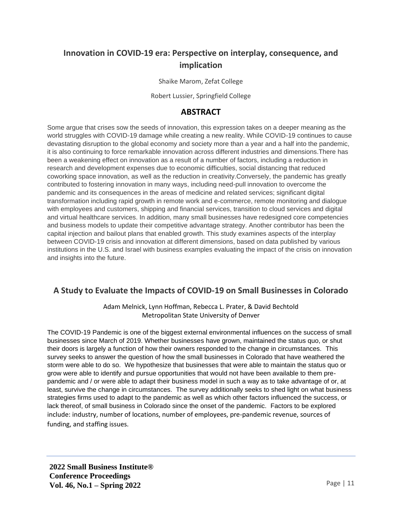# **Innovation in COVID-19 era: Perspective on interplay, consequence, and implication**

Shaike Marom, Zefat College

Robert Lussier, Springfield College

#### **ABSTRACT**

Some argue that crises sow the seeds of innovation, this expression takes on a deeper meaning as the world struggles with COVID-19 damage while creating a new reality. While COVID-19 continues to cause devastating disruption to the global economy and society more than a year and a half into the pandemic, it is also continuing to force remarkable innovation across different industries and dimensions.There has been a weakening effect on innovation as a result of a number of factors, including a reduction in research and development expenses due to economic difficulties, social distancing that reduced coworking space innovation, as well as the reduction in creativity.Conversely, the pandemic has greatly contributed to fostering innovation in many ways, including need-pull innovation to overcome the pandemic and its consequences in the areas of medicine and related services; significant digital transformation including rapid growth in remote work and e-commerce, remote monitoring and dialogue with employees and customers, shipping and financial services, transition to cloud services and digital and virtual healthcare services. In addition, many small businesses have redesigned core competencies and business models to update their competitive advantage strategy. Another contributor has been the capital injection and bailout plans that enabled growth. This study examines aspects of the interplay between COVID-19 crisis and innovation at different dimensions, based on data published by various institutions in the U.S. and Israel with business examples evaluating the impact of the crisis on innovation and insights into the future.

# **A Study to Evaluate the Impacts of COVID-19 on Small Businesses in Colorado**

Adam Melnick, Lynn Hoffman, Rebecca L. Prater, & David Bechtold Metropolitan State University of Denver

The COVID-19 Pandemic is one of the biggest external environmental influences on the success of small businesses since March of 2019. Whether businesses have grown, maintained the status quo, or shut their doors is largely a function of how their owners responded to the change in circumstances. This survey seeks to answer the question of how the small businesses in Colorado that have weathered the storm were able to do so. We hypothesize that businesses that were able to maintain the status quo or grow were able to identify and pursue opportunities that would not have been available to them prepandemic and / or were able to adapt their business model in such a way as to take advantage of or, at least, survive the change in circumstances. The survey additionally seeks to shed light on what business strategies firms used to adapt to the pandemic as well as which other factors influenced the success, or lack thereof, of small business in Colorado since the onset of the pandemic. Factors to be explored include: industry, number of locations, number of employees, pre-pandemic revenue, sources of funding, and staffing issues.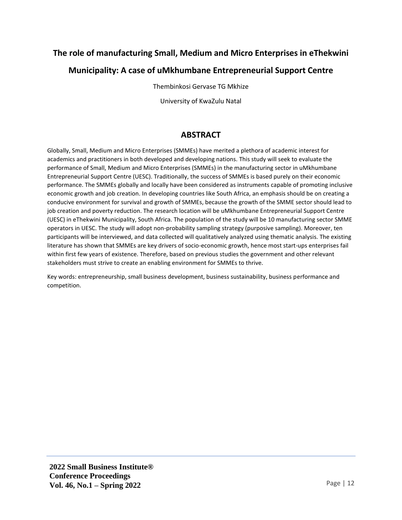# **The role of manufacturing Small, Medium and Micro Enterprises in eThekwini Municipality: A case of uMkhumbane Entrepreneurial Support Centre**

Thembinkosi Gervase TG Mkhize

University of KwaZulu Natal

# **ABSTRACT**

Globally, Small, Medium and Micro Enterprises (SMMEs) have merited a plethora of academic interest for academics and practitioners in both developed and developing nations. This study will seek to evaluate the performance of Small, Medium and Micro Enterprises (SMMEs) in the manufacturing sector in uMkhumbane Entrepreneurial Support Centre (UESC). Traditionally, the success of SMMEs is based purely on their economic performance. The SMMEs globally and locally have been considered as instruments capable of promoting inclusive economic growth and job creation. In developing countries like South Africa, an emphasis should be on creating a conducive environment for survival and growth of SMMEs, because the growth of the SMME sector should lead to job creation and poverty reduction. The research location will be uMkhumbane Entrepreneurial Support Centre (UESC) in eThekwini Municipality, South Africa. The population of the study will be 10 manufacturing sector SMME operators in UESC. The study will adopt non-probability sampling strategy (purposive sampling). Moreover, ten participants will be interviewed, and data collected will qualitatively analyzed using thematic analysis. The existing literature has shown that SMMEs are key drivers of socio-economic growth, hence most start-ups enterprises fail within first few years of existence. Therefore, based on previous studies the government and other relevant stakeholders must strive to create an enabling environment for SMMEs to thrive.

Key words: entrepreneurship, small business development, business sustainability, business performance and competition.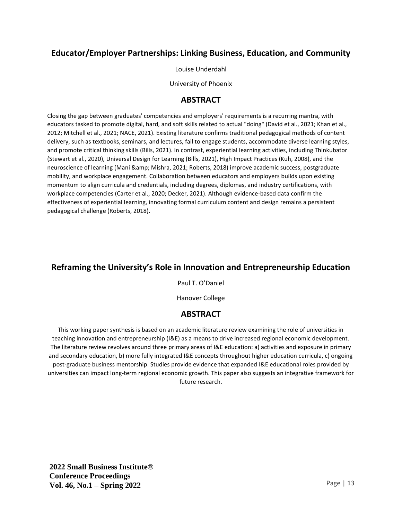# **Educator/Employer Partnerships: Linking Business, Education, and Community**

Louise Underdahl

University of Phoenix

# **ABSTRACT**

Closing the gap between graduates' competencies and employers' requirements is a recurring mantra, with educators tasked to promote digital, hard, and soft skills related to actual "doing" (David et al., 2021; Khan et al., 2012; Mitchell et al., 2021; NACE, 2021). Existing literature confirms traditional pedagogical methods of content delivery, such as textbooks, seminars, and lectures, fail to engage students, accommodate diverse learning styles, and promote critical thinking skills (Bills, 2021). In contrast, experiential learning activities, including Thinkubator (Stewart et al., 2020), Universal Design for Learning (Bills, 2021), High Impact Practices (Kuh, 2008), and the neuroscience of learning (Mani & amp; Mishra, 2021; Roberts, 2018) improve academic success, postgraduate mobility, and workplace engagement. Collaboration between educators and employers builds upon existing momentum to align curricula and credentials, including degrees, diplomas, and industry certifications, with workplace competencies (Carter et al., 2020; Decker, 2021). Although evidence-based data confirm the effectiveness of experiential learning, innovating formal curriculum content and design remains a persistent pedagogical challenge (Roberts, 2018).

# **Reframing the University's Role in Innovation and Entrepreneurship Education**

Paul T. O'Daniel

Hanover College

# **ABSTRACT**

This working paper synthesis is based on an academic literature review examining the role of universities in teaching innovation and entrepreneurship (I&E) as a means to drive increased regional economic development. The literature review revolves around three primary areas of I&E education: a) activities and exposure in primary and secondary education, b) more fully integrated I&E concepts throughout higher education curricula, c) ongoing post-graduate business mentorship. Studies provide evidence that expanded I&E educational roles provided by universities can impact long-term regional economic growth. This paper also suggests an integrative framework for future research.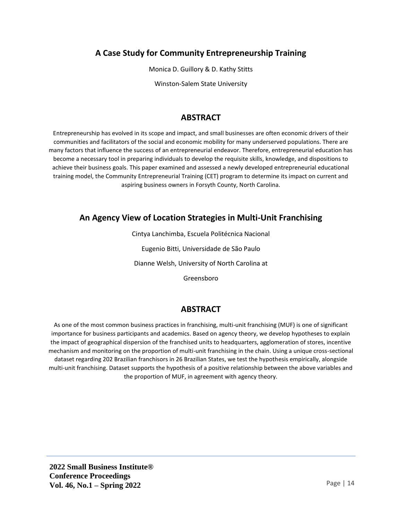# **A Case Study for Community Entrepreneurship Training**

Monica D. Guillory & D. Kathy Stitts

Winston-Salem State University

#### **ABSTRACT**

Entrepreneurship has evolved in its scope and impact, and small businesses are often economic drivers of their communities and facilitators of the social and economic mobility for many underserved populations. There are many factors that influence the success of an entrepreneurial endeavor. Therefore, entrepreneurial education has become a necessary tool in preparing individuals to develop the requisite skills, knowledge, and dispositions to achieve their business goals. This paper examined and assessed a newly developed entrepreneurial educational training model, the Community Entrepreneurial Training (CET) program to determine its impact on current and aspiring business owners in Forsyth County, North Carolina.

# **An Agency View of Location Strategies in Multi-Unit Franchising**

Cintya Lanchimba, Escuela Politécnica Nacional Eugenio Bitti, Universidade de São Paulo Dianne Welsh, University of North Carolina at

Greensboro

# **ABSTRACT**

As one of the most common business practices in franchising, multi-unit franchising (MUF) is one of significant importance for business participants and academics. Based on agency theory, we develop hypotheses to explain the impact of geographical dispersion of the franchised units to headquarters, agglomeration of stores, incentive mechanism and monitoring on the proportion of multi-unit franchising in the chain. Using a unique cross-sectional dataset regarding 202 Brazilian franchisors in 26 Brazilian States, we test the hypothesis empirically, alongside multi-unit franchising. Dataset supports the hypothesis of a positive relationship between the above variables and the proportion of MUF, in agreement with agency theory.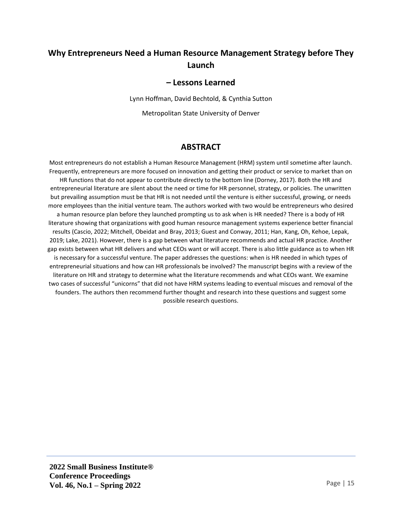# **Why Entrepreneurs Need a Human Resource Management Strategy before They Launch**

#### **– Lessons Learned**

Lynn Hoffman, David Bechtold, & Cynthia Sutton

Metropolitan State University of Denver

#### **ABSTRACT**

Most entrepreneurs do not establish a Human Resource Management (HRM) system until sometime after launch. Frequently, entrepreneurs are more focused on innovation and getting their product or service to market than on HR functions that do not appear to contribute directly to the bottom line (Dorney, 2017). Both the HR and entrepreneurial literature are silent about the need or time for HR personnel, strategy, or policies. The unwritten but prevailing assumption must be that HR is not needed until the venture is either successful, growing, or needs more employees than the initial venture team. The authors worked with two would be entrepreneurs who desired a human resource plan before they launched prompting us to ask when is HR needed? There is a body of HR literature showing that organizations with good human resource management systems experience better financial results (Cascio, 2022; Mitchell, Obeidat and Bray, 2013; Guest and Conway, 2011; Han, Kang, Oh, Kehoe, Lepak, 2019; Lake, 2021). However, there is a gap between what literature recommends and actual HR practice. Another gap exists between what HR delivers and what CEOs want or will accept. There is also little guidance as to when HR is necessary for a successful venture. The paper addresses the questions: when is HR needed in which types of entrepreneurial situations and how can HR professionals be involved? The manuscript begins with a review of the literature on HR and strategy to determine what the literature recommends and what CEOs want. We examine two cases of successful "unicorns" that did not have HRM systems leading to eventual miscues and removal of the founders. The authors then recommend further thought and research into these questions and suggest some possible research questions.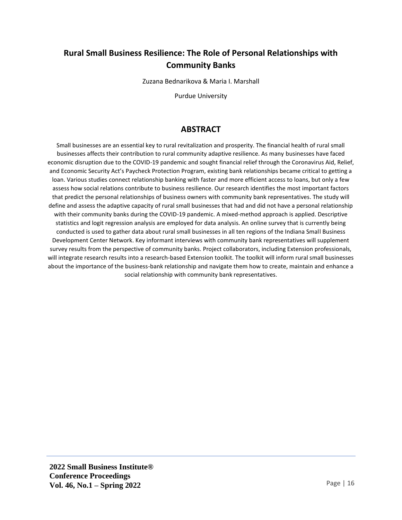# **Rural Small Business Resilience: The Role of Personal Relationships with Community Banks**

Zuzana Bednarikova & Maria I. Marshall

Purdue University

#### **ABSTRACT**

Small businesses are an essential key to rural revitalization and prosperity. The financial health of rural small businesses affects their contribution to rural community adaptive resilience. As many businesses have faced economic disruption due to the COVID-19 pandemic and sought financial relief through the Coronavirus Aid, Relief, and Economic Security Act's Paycheck Protection Program, existing bank relationships became critical to getting a loan. Various studies connect relationship banking with faster and more efficient access to loans, but only a few assess how social relations contribute to business resilience. Our research identifies the most important factors that predict the personal relationships of business owners with community bank representatives. The study will define and assess the adaptive capacity of rural small businesses that had and did not have a personal relationship with their community banks during the COVID-19 pandemic. A mixed-method approach is applied. Descriptive statistics and logit regression analysis are employed for data analysis. An online survey that is currently being conducted is used to gather data about rural small businesses in all ten regions of the Indiana Small Business Development Center Network. Key informant interviews with community bank representatives will supplement survey results from the perspective of community banks. Project collaborators, including Extension professionals, will integrate research results into a research-based Extension toolkit. The toolkit will inform rural small businesses about the importance of the business-bank relationship and navigate them how to create, maintain and enhance a social relationship with community bank representatives.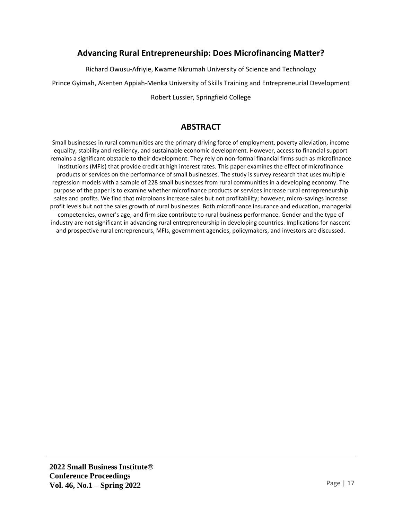# **Advancing Rural Entrepreneurship: Does Microfinancing Matter?**

Richard Owusu-Afriyie, Kwame Nkrumah University of Science and Technology

Prince Gyimah, Akenten Appiah-Menka University of Skills Training and Entrepreneurial Development

Robert Lussier, Springfield College

# **ABSTRACT**

Small businesses in rural communities are the primary driving force of employment, poverty alleviation, income equality, stability and resiliency, and sustainable economic development. However, access to financial support remains a significant obstacle to their development. They rely on non-formal financial firms such as microfinance institutions (MFIs) that provide credit at high interest rates. This paper examines the effect of microfinance products or services on the performance of small businesses. The study is survey research that uses multiple regression models with a sample of 228 small businesses from rural communities in a developing economy. The purpose of the paper is to examine whether microfinance products or services increase rural entrepreneurship sales and profits. We find that microloans increase sales but not profitability; however, micro-savings increase profit levels but not the sales growth of rural businesses. Both microfinance insurance and education, managerial competencies, owner's age, and firm size contribute to rural business performance. Gender and the type of industry are not significant in advancing rural entrepreneurship in developing countries. Implications for nascent and prospective rural entrepreneurs, MFIs, government agencies, policymakers, and investors are discussed.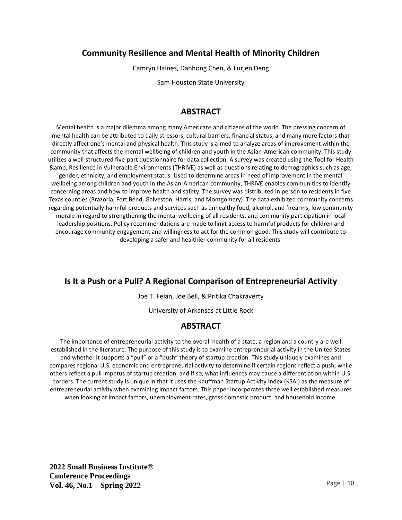# **Community Resilience and Mental Health of Minority Children**

Camryn Haines, Danhong Chen, & Furjen Deng

Sam Houston State University

# **ABSTRACT**

Mental health is a major dilemma among many Americans and citizens of the world. The pressing concern of mental health can be attributed to daily stressors, cultural barriers, financial status, and many more factors that directly affect one's mental and physical health. This study is aimed to analyze areas of improvement within the community that affects the mental wellbeing of children and youth in the Asian-American community. This study utilizes a well-structured five-part questionnaire for data collection. A survey was created using the Tool for Health & Resilience in Vulnerable Environments (THRIVE) as well as questions relating to demographics such as age, gender, ethnicity, and employment status. Used to determine areas in need of improvement in the mental wellbeing among children and youth in the Asian-American community, THRIVE enables communities to identify concerning areas and how to improve health and safety. The survey was distributed in person to residents in five Texas counties (Brazoria, Fort Bend, Galveston, Harris, and Montgomery). The data exhibited community concerns regarding potentially harmful products and services such as unhealthy food, alcohol, and firearms, low community morale in regard to strengthening the mental wellbeing of all residents, and community participation in local leadership positions. Policy recommendations are made to limit access to harmful products for children and encourage community engagement and willingness to act for the common good. This study will contribute to developing a safer and healthier community for all residents.

# **Is It a Push or a Pull? A Regional Comparison of Entrepreneurial Activity**

Joe T. Felan, Joe Bell, & Pritika Chakraverty

University of Arkansas at Little Rock

# **ABSTRACT**

The importance of entrepreneurial activity to the overall health of a state, a region and a country are well established in the literature. The purpose of this study is to examine entrepreneurial activity in the United States and whether it supports a "pull" or a "push" theory of startup creation. This study uniquely examines and compares regional U.S. economic and entrepreneurial activity to determine if certain regions reflect a push, while others reflect a pull impetus of startup creation, and if so, what influences may cause a differentiation within U.S. borders. The current study is unique in that it uses the Kauffman Startup Activity Index (KSAI) as the measure of entrepreneurial activity when examining impact factors. This paper incorporates three well established measures when looking at impact factors, unemployment rates, gross domestic product, and household income.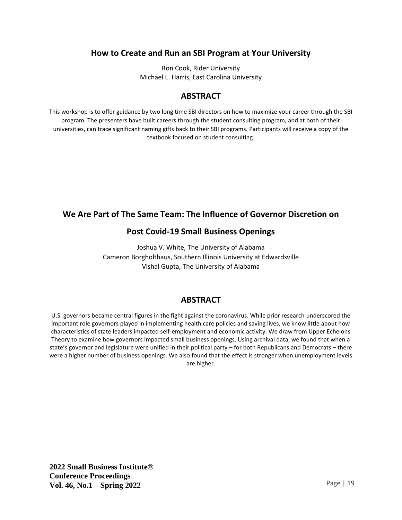# **How to Create and Run an SBI Program at Your University**

Ron Cook, Rider University Michael L. Harris, East Carolina University

#### **ABSTRACT**

This workshop is to offer guidance by two long time SBI directors on how to maximize your career through the SBI program. The presenters have built careers through the student consulting program, and at both of their universities, can trace significant naming gifts back to their SBI programs. Participants will receive a copy of the textbook focused on student consulting.

# **We Are Part of The Same Team: The Influence of Governor Discretion on**

# **Post Covid-19 Small Business Openings**

Joshua V. White, The University of Alabama Cameron Borgholthaus, Southern Illinois University at Edwardsville Vishal Gupta, The University of Alabama

# **ABSTRACT**

U.S. governors became central figures in the fight against the coronavirus. While prior research underscored the important role governors played in implementing health care policies and saving lives, we know little about how characteristics of state leaders impacted self-employment and economic activity. We draw from Upper Echelons Theory to examine how governors impacted small business openings. Using archival data, we found that when a state's governor and legislature were unified in their political party – for both Republicans and Democrats – there were a higher number of business openings. We also found that the effect is stronger when unemployment levels are higher.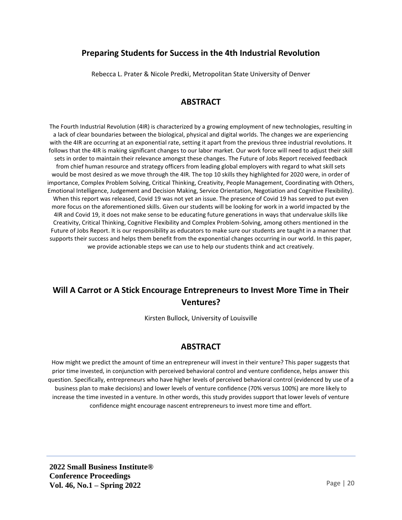# **Preparing Students for Success in the 4th Industrial Revolution**

Rebecca L. Prater & Nicole Predki, Metropolitan State University of Denver

#### **ABSTRACT**

The Fourth Industrial Revolution (4IR) is characterized by a growing employment of new technologies, resulting in a lack of clear boundaries between the biological, physical and digital worlds. The changes we are experiencing with the 4IR are occurring at an exponential rate, setting it apart from the previous three industrial revolutions. It follows that the 4IR is making significant changes to our labor market. Our work force will need to adjust their skill sets in order to maintain their relevance amongst these changes. The Future of Jobs Report received feedback from chief human resource and strategy officers from leading global employers with regard to what skill sets would be most desired as we move through the 4IR. The top 10 skills they highlighted for 2020 were, in order of importance, Complex Problem Solving, Critical Thinking, Creativity, People Management, Coordinating with Others, Emotional Intelligence, Judgement and Decision Making, Service Orientation, Negotiation and Cognitive Flexibility). When this report was released, Covid 19 was not yet an issue. The presence of Covid 19 has served to put even more focus on the aforementioned skills. Given our students will be looking for work in a world impacted by the 4IR and Covid 19, it does not make sense to be educating future generations in ways that undervalue skills like Creativity, Critical Thinking, Cognitive Flexibility and Complex Problem-Solving, among others mentioned in the Future of Jobs Report. It is our responsibility as educators to make sure our students are taught in a manner that supports their success and helps them benefit from the exponential changes occurring in our world. In this paper, we provide actionable steps we can use to help our students think and act creatively.

# **Will A Carrot or A Stick Encourage Entrepreneurs to Invest More Time in Their Ventures?**

Kirsten Bullock, University of Louisville

#### **ABSTRACT**

How might we predict the amount of time an entrepreneur will invest in their venture? This paper suggests that prior time invested, in conjunction with perceived behavioral control and venture confidence, helps answer this question. Specifically, entrepreneurs who have higher levels of perceived behavioral control (evidenced by use of a business plan to make decisions) and lower levels of venture confidence (70% versus 100%) are more likely to increase the time invested in a venture. In other words, this study provides support that lower levels of venture confidence might encourage nascent entrepreneurs to invest more time and effort.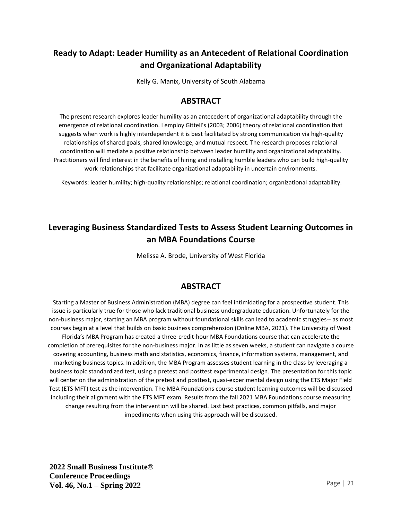# **Ready to Adapt: Leader Humility as an Antecedent of Relational Coordination and Organizational Adaptability**

Kelly G. Manix, University of South Alabama

# **ABSTRACT**

The present research explores leader humility as an antecedent of organizational adaptability through the emergence of relational coordination. I employ Gittell's (2003; 2006) theory of relational coordination that suggests when work is highly interdependent it is best facilitated by strong communication via high-quality relationships of shared goals, shared knowledge, and mutual respect. The research proposes relational coordination will mediate a positive relationship between leader humility and organizational adaptability. Practitioners will find interest in the benefits of hiring and installing humble leaders who can build high-quality work relationships that facilitate organizational adaptability in uncertain environments.

Keywords: leader humility; high-quality relationships; relational coordination; organizational adaptability.

# **Leveraging Business Standardized Tests to Assess Student Learning Outcomes in an MBA Foundations Course**

Melissa A. Brode, University of West Florida

# **ABSTRACT**

Starting a Master of Business Administration (MBA) degree can feel intimidating for a prospective student. This issue is particularly true for those who lack traditional business undergraduate education. Unfortunately for the non-business major, starting an MBA program without foundational skills can lead to academic struggles-- as most courses begin at a level that builds on basic business comprehension (Online MBA, 2021). The University of West Florida's MBA Program has created a three-credit-hour MBA Foundations course that can accelerate the completion of prerequisites for the non-business major. In as little as seven weeks, a student can navigate a course covering accounting, business math and statistics, economics, finance, information systems, management, and marketing business topics. In addition, the MBA Program assesses student learning in the class by leveraging a business topic standardized test, using a pretest and posttest experimental design. The presentation for this topic will center on the administration of the pretest and posttest, quasi-experimental design using the ETS Major Field Test (ETS MFT) test as the intervention. The MBA Foundations course student learning outcomes will be discussed including their alignment with the ETS MFT exam. Results from the fall 2021 MBA Foundations course measuring change resulting from the intervention will be shared. Last best practices, common pitfalls, and major impediments when using this approach will be discussed.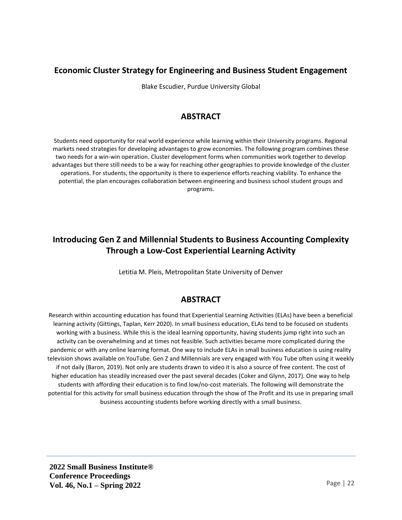# **Economic Cluster Strategy for Engineering and Business Student Engagement**

Blake Escudier, Purdue University Global

# **ABSTRACT**

Students need opportunity for real world experience while learning within their University programs. Regional markets need strategies for developing advantages to grow economies. The following program combines these two needs for a win-win operation. Cluster development forms when communities work together to develop advantages but there still needs to be a way for reaching other geographies to provide knowledge of the cluster operations. For students, the opportunity is there to experience efforts reaching viability. To enhance the potential, the plan encourages collaboration between engineering and business school student groups and programs.

# **Introducing Gen Z and Millennial Students to Business Accounting Complexity Through a Low-Cost Experiential Learning Activity**

Letitia M. Pleis, Metropolitan State University of Denver

# **ABSTRACT**

Research within accounting education has found that Experiential Learning Activities (ELAs) have been a beneficial learning activity (Gittings, Taplan, Kerr 2020). In small business education, ELAs tend to be focused on students working with a business. While this is the ideal learning opportunity, having students jump right into such an activity can be overwhelming and at times not feasible. Such activities became more complicated during the pandemic or with any online learning format. One way to include ELAs in small business education is using reality television shows available on YouTube. Gen Z and Millennials are very engaged with You Tube often using it weekly if not daily (Baron, 2019). Not only are students drawn to video it is also a source of free content. The cost of higher education has steadily increased over the past several decades (Coker and Glynn, 2017). One way to help students with affording their education is to find low/no-cost materials. The following will demonstrate the potential for this activity for small business education through the show of The Profit and its use in preparing small business accounting students before working directly with a small business.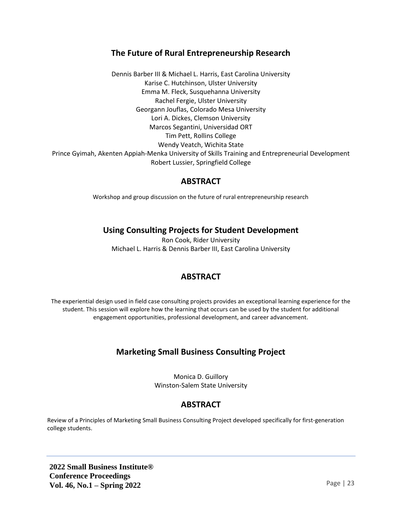# **The Future of Rural Entrepreneurship Research**

Dennis Barber III & Michael L. Harris, East Carolina University Karise C. Hutchinson, Ulster University Emma M. Fleck, Susquehanna University Rachel Fergie, Ulster University Georgann Jouflas, Colorado Mesa University Lori A. Dickes, Clemson University Marcos Segantini, Universidad ORT Tim Pett, Rollins College Wendy Veatch, Wichita State Prince Gyimah, Akenten Appiah-Menka University of Skills Training and Entrepreneurial Development Robert Lussier, Springfield College

#### **ABSTRACT**

Workshop and group discussion on the future of rural entrepreneurship research

# **Using Consulting Projects for Student Development**

Ron Cook, Rider University Michael L. Harris & Dennis Barber III, East Carolina University

# **ABSTRACT**

The experiential design used in field case consulting projects provides an exceptional learning experience for the student. This session will explore how the learning that occurs can be used by the student for additional engagement opportunities, professional development, and career advancement.

# **Marketing Small Business Consulting Project**

Monica D. Guillory Winston-Salem State University

# **ABSTRACT**

Review of a Principles of Marketing Small Business Consulting Project developed specifically for first-generation college students.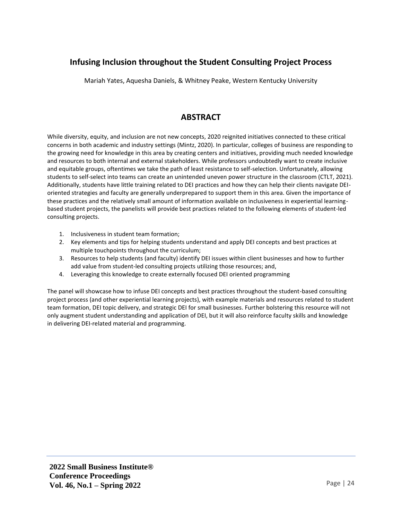# **Infusing Inclusion throughout the Student Consulting Project Process**

Mariah Yates, Aquesha Daniels, & Whitney Peake, Western Kentucky University

# **ABSTRACT**

While diversity, equity, and inclusion are not new concepts, 2020 reignited initiatives connected to these critical concerns in both academic and industry settings (Mintz, 2020). In particular, colleges of business are responding to the growing need for knowledge in this area by creating centers and initiatives, providing much needed knowledge and resources to both internal and external stakeholders. While professors undoubtedly want to create inclusive and equitable groups, oftentimes we take the path of least resistance to self-selection. Unfortunately, allowing students to self-select into teams can create an unintended uneven power structure in the classroom (CTLT, 2021). Additionally, students have little training related to DEI practices and how they can help their clients navigate DEIoriented strategies and faculty are generally underprepared to support them in this area. Given the importance of these practices and the relatively small amount of information available on inclusiveness in experiential learningbased student projects, the panelists will provide best practices related to the following elements of student-led consulting projects.

- 1. Inclusiveness in student team formation;
- 2. Key elements and tips for helping students understand and apply DEI concepts and best practices at multiple touchpoints throughout the curriculum;
- 3. Resources to help students (and faculty) identify DEI issues within client businesses and how to further add value from student-led consulting projects utilizing those resources; and,
- 4. Leveraging this knowledge to create externally focused DEI oriented programming

The panel will showcase how to infuse DEI concepts and best practices throughout the student-based consulting project process (and other experiential learning projects), with example materials and resources related to student team formation, DEI topic delivery, and strategic DEI for small businesses. Further bolstering this resource will not only augment student understanding and application of DEI, but it will also reinforce faculty skills and knowledge in delivering DEI-related material and programming.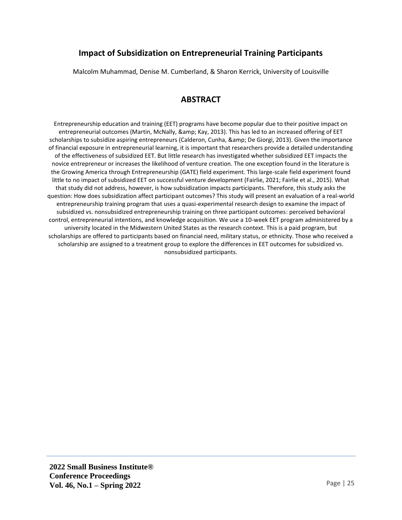# **Impact of Subsidization on Entrepreneurial Training Participants**

Malcolm Muhammad, Denise M. Cumberland, & Sharon Kerrick, University of Louisville

#### **ABSTRACT**

Entrepreneurship education and training (EET) programs have become popular due to their positive impact on entrepreneurial outcomes (Martin, McNally, & amp; Kay, 2013). This has led to an increased offering of EET scholarships to subsidize aspiring entrepreneurs (Calderon, Cunha, & amp; De Giorgi, 2013). Given the importance of financial exposure in entrepreneurial learning, it is important that researchers provide a detailed understanding of the effectiveness of subsidized EET. But little research has investigated whether subsidized EET impacts the novice entrepreneur or increases the likelihood of venture creation. The one exception found in the literature is the Growing America through Entrepreneurship (GATE) field experiment. This large-scale field experiment found little to no impact of subsidized EET on successful venture development (Fairlie, 2021; Fairlie et al., 2015). What that study did not address, however, is how subsidization impacts participants. Therefore, this study asks the question: How does subsidization affect participant outcomes? This study will present an evaluation of a real-world entrepreneurship training program that uses a quasi-experimental research design to examine the impact of subsidized vs. nonsubsidized entrepreneurship training on three participant outcomes: perceived behavioral control, entrepreneurial intentions, and knowledge acquisition. We use a 10-week EET program administered by a university located in the Midwestern United States as the research context. This is a paid program, but scholarships are offered to participants based on financial need, military status, or ethnicity. Those who received a scholarship are assigned to a treatment group to explore the differences in EET outcomes for subsidized vs. nonsubsidized participants.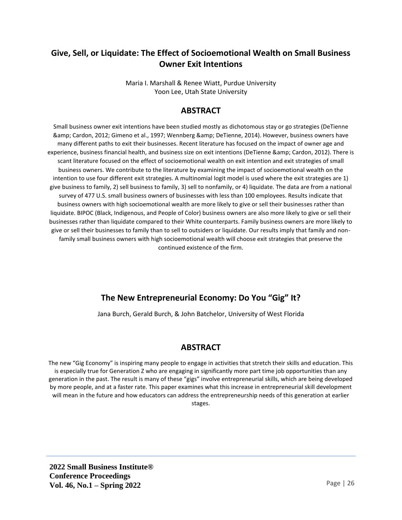# **Give, Sell, or Liquidate: The Effect of Socioemotional Wealth on Small Business Owner Exit Intentions**

Maria I. Marshall & Renee Wiatt, Purdue University Yoon Lee, Utah State University

#### **ABSTRACT**

Small business owner exit intentions have been studied mostly as dichotomous stay or go strategies (DeTienne & Cardon, 2012; Gimeno et al., 1997; Wennberg & amp; DeTienne, 2014). However, business owners have many different paths to exit their businesses. Recent literature has focused on the impact of owner age and experience, business financial health, and business size on exit intentions (DeTienne & amp; Cardon, 2012). There is scant literature focused on the effect of socioemotional wealth on exit intention and exit strategies of small business owners. We contribute to the literature by examining the impact of socioemotional wealth on the intention to use four different exit strategies. A multinomial logit model is used where the exit strategies are 1) give business to family, 2) sell business to family, 3) sell to nonfamily, or 4) liquidate. The data are from a national survey of 477 U.S. small business owners of businesses with less than 100 employees. Results indicate that business owners with high socioemotional wealth are more likely to give or sell their businesses rather than liquidate. BIPOC (Black, Indigenous, and People of Color) business owners are also more likely to give or sell their businesses rather than liquidate compared to their White counterparts. Family business owners are more likely to give or sell their businesses to family than to sell to outsiders or liquidate. Our results imply that family and nonfamily small business owners with high socioemotional wealth will choose exit strategies that preserve the continued existence of the firm.

# **The New Entrepreneurial Economy: Do You "Gig" It?**

Jana Burch, Gerald Burch, & John Batchelor, University of West Florida

# **ABSTRACT**

The new "Gig Economy" is inspiring many people to engage in activities that stretch their skills and education. This is especially true for Generation Z who are engaging in significantly more part time job opportunities than any generation in the past. The result is many of these "gigs" involve entrepreneurial skills, which are being developed by more people, and at a faster rate. This paper examines what this increase in entrepreneurial skill development will mean in the future and how educators can address the entrepreneurship needs of this generation at earlier stages.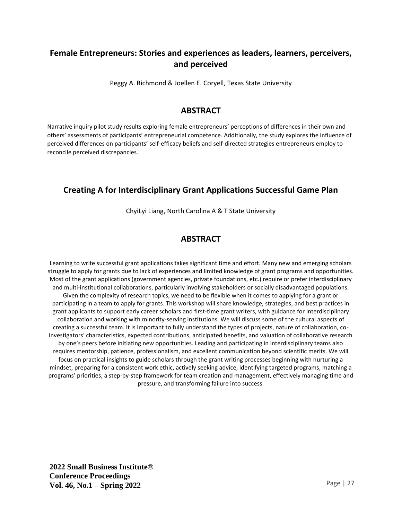# **Female Entrepreneurs: Stories and experiences as leaders, learners, perceivers, and perceived**

Peggy A. Richmond & Joellen E. Coryell, Texas State University

#### **ABSTRACT**

Narrative inquiry pilot study results exploring female entrepreneurs' perceptions of differences in their own and others' assessments of participants' entrepreneurial competence. Additionally, the study explores the influence of perceived differences on participants' self-efficacy beliefs and self-directed strategies entrepreneurs employ to reconcile perceived discrepancies.

# **Creating A for Interdisciplinary Grant Applications Successful Game Plan**

ChyiLyi Liang, North Carolina A & T State University

# **ABSTRACT**

Learning to write successful grant applications takes significant time and effort. Many new and emerging scholars struggle to apply for grants due to lack of experiences and limited knowledge of grant programs and opportunities. Most of the grant applications (government agencies, private foundations, etc.) require or prefer interdisciplinary and multi-institutional collaborations, particularly involving stakeholders or socially disadvantaged populations. Given the complexity of research topics, we need to be flexible when it comes to applying for a grant or participating in a team to apply for grants. This workshop will share knowledge, strategies, and best practices in grant applicants to support early career scholars and first-time grant writers, with guidance for interdisciplinary collaboration and working with minority-serving institutions. We will discuss some of the cultural aspects of creating a successful team. It is important to fully understand the types of projects, nature of collaboration, coinvestigators' characteristics, expected contributions, anticipated benefits, and valuation of collaborative research by one's peers before initiating new opportunities. Leading and participating in interdisciplinary teams also requires mentorship, patience, professionalism, and excellent communication beyond scientific merits. We will focus on practical insights to guide scholars through the grant writing processes beginning with nurturing a mindset, preparing for a consistent work ethic, actively seeking advice, identifying targeted programs, matching a programs' priorities, a step-by-step framework for team creation and management, effectively managing time and pressure, and transforming failure into success.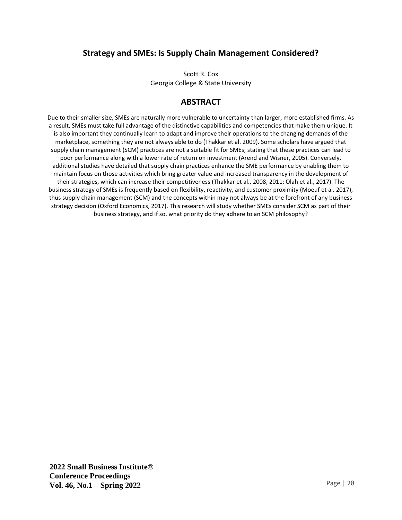# **Strategy and SMEs: Is Supply Chain Management Considered?**

Scott R. Cox Georgia College & State University

#### **ABSTRACT**

Due to their smaller size, SMEs are naturally more vulnerable to uncertainty than larger, more established firms. As a result, SMEs must take full advantage of the distinctive capabilities and competencies that make them unique. It is also important they continually learn to adapt and improve their operations to the changing demands of the marketplace, something they are not always able to do (Thakkar et al. 2009). Some scholars have argued that supply chain management (SCM) practices are not a suitable fit for SMEs, stating that these practices can lead to poor performance along with a lower rate of return on investment (Arend and Wisner, 2005). Conversely, additional studies have detailed that supply chain practices enhance the SME performance by enabling them to maintain focus on those activities which bring greater value and increased transparency in the development of their strategies, which can increase their competitiveness (Thakkar et al., 2008, 2011; Olah et al., 2017). The business strategy of SMEs is frequently based on flexibility, reactivity, and customer proximity (Moeuf et al. 2017), thus supply chain management (SCM) and the concepts within may not always be at the forefront of any business strategy decision (Oxford Economics, 2017). This research will study whether SMEs consider SCM as part of their business strategy, and if so, what priority do they adhere to an SCM philosophy?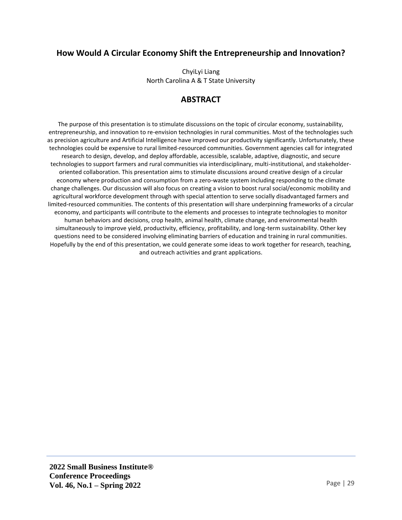# **How Would A Circular Economy Shift the Entrepreneurship and Innovation?**

ChyiLyi Liang North Carolina A & T State University

#### **ABSTRACT**

The purpose of this presentation is to stimulate discussions on the topic of circular economy, sustainability, entrepreneurship, and innovation to re-envision technologies in rural communities. Most of the technologies such as precision agriculture and Artificial Intelligence have improved our productivity significantly. Unfortunately, these technologies could be expensive to rural limited-resourced communities. Government agencies call for integrated research to design, develop, and deploy affordable, accessible, scalable, adaptive, diagnostic, and secure technologies to support farmers and rural communities via interdisciplinary, multi-institutional, and stakeholderoriented collaboration. This presentation aims to stimulate discussions around creative design of a circular economy where production and consumption from a zero-waste system including responding to the climate change challenges. Our discussion will also focus on creating a vision to boost rural social/economic mobility and agricultural workforce development through with special attention to serve socially disadvantaged farmers and limited-resourced communities. The contents of this presentation will share underpinning frameworks of a circular economy, and participants will contribute to the elements and processes to integrate technologies to monitor human behaviors and decisions, crop health, animal health, climate change, and environmental health simultaneously to improve yield, productivity, efficiency, profitability, and long-term sustainability. Other key questions need to be considered involving eliminating barriers of education and training in rural communities. Hopefully by the end of this presentation, we could generate some ideas to work together for research, teaching, and outreach activities and grant applications.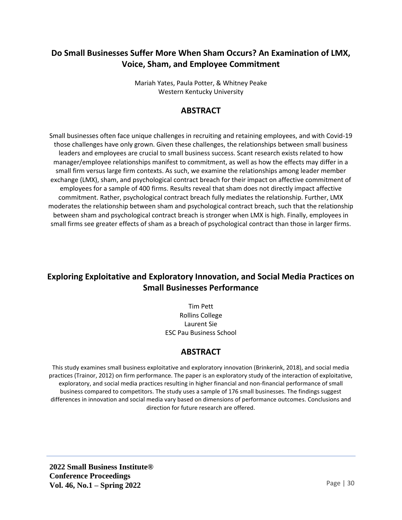# **Do Small Businesses Suffer More When Sham Occurs? An Examination of LMX, Voice, Sham, and Employee Commitment**

Mariah Yates, Paula Potter, & Whitney Peake Western Kentucky University

# **ABSTRACT**

Small businesses often face unique challenges in recruiting and retaining employees, and with Covid-19 those challenges have only grown. Given these challenges, the relationships between small business leaders and employees are crucial to small business success. Scant research exists related to how manager/employee relationships manifest to commitment, as well as how the effects may differ in a small firm versus large firm contexts. As such, we examine the relationships among leader member exchange (LMX), sham, and psychological contract breach for their impact on affective commitment of employees for a sample of 400 firms. Results reveal that sham does not directly impact affective commitment. Rather, psychological contract breach fully mediates the relationship. Further, LMX moderates the relationship between sham and psychological contract breach, such that the relationship between sham and psychological contract breach is stronger when LMX is high. Finally, employees in small firms see greater effects of sham as a breach of psychological contract than those in larger firms.

# **Exploring Exploitative and Exploratory Innovation, and Social Media Practices on Small Businesses Performance**

Tim Pett Rollins College Laurent Sie ESC Pau Business School

# **ABSTRACT**

This study examines small business exploitative and exploratory innovation (Brinkerink, 2018), and social media practices (Trainor, 2012) on firm performance. The paper is an exploratory study of the interaction of exploitative, exploratory, and social media practices resulting in higher financial and non-financial performance of small business compared to competitors. The study uses a sample of 176 small businesses. The findings suggest differences in innovation and social media vary based on dimensions of performance outcomes. Conclusions and direction for future research are offered.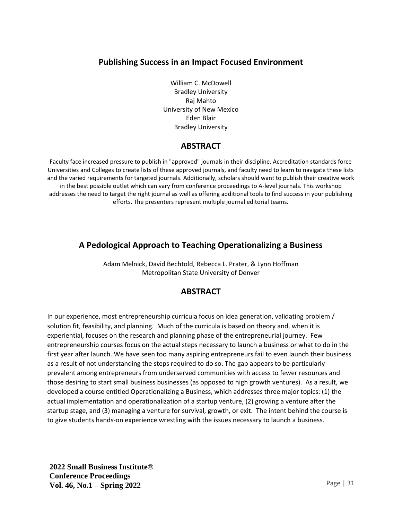# **Publishing Success in an Impact Focused Environment**

William C. McDowell Bradley University Raj Mahto University of New Mexico Eden Blair Bradley University

#### **ABSTRACT**

Faculty face increased pressure to publish in "approved" journals in their discipline. Accreditation standards force Universities and Colleges to create lists of these approved journals, and faculty need to learn to navigate these lists and the varied requirements for targeted journals. Additionally, scholars should want to publish their creative work in the best possible outlet which can vary from conference proceedings to A-level journals. This workshop addresses the need to target the right journal as well as offering additional tools to find success in your publishing efforts. The presenters represent multiple journal editorial teams.

# **A Pedological Approach to Teaching Operationalizing a Business**

Adam Melnick, David Bechtold, Rebecca L. Prater, & Lynn Hoffman Metropolitan State University of Denver

# **ABSTRACT**

In our experience, most entrepreneurship curricula focus on idea generation, validating problem / solution fit, feasibility, and planning. Much of the curricula is based on theory and, when it is experiential, focuses on the research and planning phase of the entrepreneurial journey. Few entrepreneurship courses focus on the actual steps necessary to launch a business or what to do in the first year after launch. We have seen too many aspiring entrepreneurs fail to even launch their business as a result of not understanding the steps required to do so. The gap appears to be particularly prevalent among entrepreneurs from underserved communities with access to fewer resources and those desiring to start small business businesses (as opposed to high growth ventures). As a result, we developed a course entitled Operationalizing a Business, which addresses three major topics: (1) the actual implementation and operationalization of a startup venture, (2) growing a venture after the startup stage, and (3) managing a venture for survival, growth, or exit. The intent behind the course is to give students hands-on experience wrestling with the issues necessary to launch a business.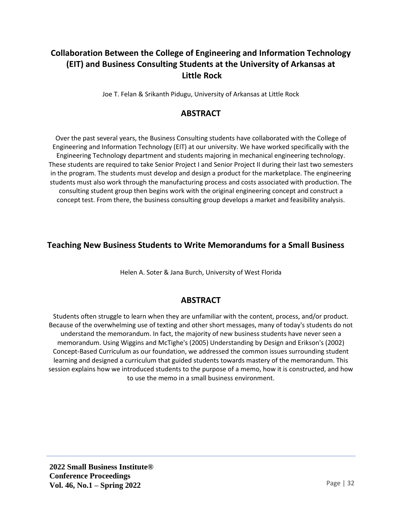# **Collaboration Between the College of Engineering and Information Technology (EIT) and Business Consulting Students at the University of Arkansas at Little Rock**

Joe T. Felan & Srikanth Pidugu, University of Arkansas at Little Rock

# **ABSTRACT**

Over the past several years, the Business Consulting students have collaborated with the College of Engineering and Information Technology (EIT) at our university. We have worked specifically with the Engineering Technology department and students majoring in mechanical engineering technology. These students are required to take Senior Project I and Senior Project II during their last two semesters in the program. The students must develop and design a product for the marketplace. The engineering students must also work through the manufacturing process and costs associated with production. The consulting student group then begins work with the original engineering concept and construct a concept test. From there, the business consulting group develops a market and feasibility analysis.

# **Teaching New Business Students to Write Memorandums for a Small Business**

Helen A. Soter & Jana Burch, University of West Florida

# **ABSTRACT**

Students often struggle to learn when they are unfamiliar with the content, process, and/or product. Because of the overwhelming use of texting and other short messages, many of today's students do not understand the memorandum. In fact, the majority of new business students have never seen a memorandum. Using Wiggins and McTighe's (2005) Understanding by Design and Erikson's (2002) Concept-Based Curriculum as our foundation, we addressed the common issues surrounding student learning and designed a curriculum that guided students towards mastery of the memorandum. This session explains how we introduced students to the purpose of a memo, how it is constructed, and how to use the memo in a small business environment.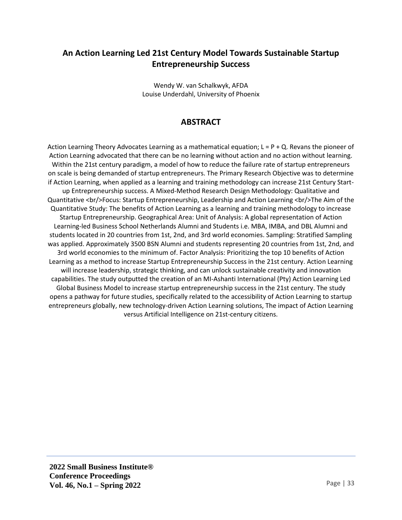# **An Action Learning Led 21st Century Model Towards Sustainable Startup Entrepreneurship Success**

Wendy W. van Schalkwyk, AFDA Louise Underdahl, University of Phoenix

# **ABSTRACT**

Action Learning Theory Advocates Learning as a mathematical equation;  $L = P + Q$ . Revans the pioneer of Action Learning advocated that there can be no learning without action and no action without learning. Within the 21st century paradigm, a model of how to reduce the failure rate of startup entrepreneurs on scale is being demanded of startup entrepreneurs. The Primary Research Objective was to determine if Action Learning, when applied as a learning and training methodology can increase 21st Century Startup Entrepreneurship success. A Mixed-Method Research Design Methodology: Qualitative and Quantitative <br/>br/>Focus: Startup Entrepreneurship, Leadership and Action Learning <br/>shr/>The Aim of the Quantitative Study: The benefits of Action Learning as a learning and training methodology to increase Startup Entrepreneurship. Geographical Area: Unit of Analysis: A global representation of Action Learning-led Business School Netherlands Alumni and Students i.e. MBA, IMBA, and DBL Alumni and students located in 20 countries from 1st, 2nd, and 3rd world economies. Sampling: Stratified Sampling was applied. Approximately 3500 BSN Alumni and students representing 20 countries from 1st, 2nd, and 3rd world economies to the minimum of. Factor Analysis: Prioritizing the top 10 benefits of Action Learning as a method to increase Startup Entrepreneurship Success in the 21st century. Action Learning will increase leadership, strategic thinking, and can unlock sustainable creativity and innovation capabilities. The study outputted the creation of an MI-Ashanti International (Pty) Action Learning Led Global Business Model to increase startup entrepreneurship success in the 21st century. The study opens a pathway for future studies, specifically related to the accessibility of Action Learning to startup entrepreneurs globally, new technology-driven Action Learning solutions, The impact of Action Learning versus Artificial Intelligence on 21st-century citizens.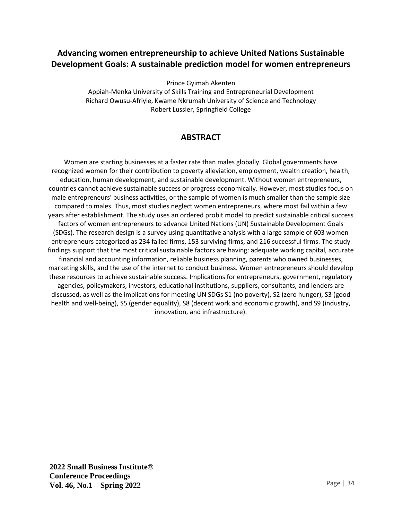# **Advancing women entrepreneurship to achieve United Nations Sustainable Development Goals: A sustainable prediction model for women entrepreneurs**

Prince Gyimah Akenten

Appiah-Menka University of Skills Training and Entrepreneurial Development Richard Owusu-Afriyie, Kwame Nkrumah University of Science and Technology Robert Lussier, Springfield College

# **ABSTRACT**

Women are starting businesses at a faster rate than males globally. Global governments have recognized women for their contribution to poverty alleviation, employment, wealth creation, health, education, human development, and sustainable development. Without women entrepreneurs, countries cannot achieve sustainable success or progress economically. However, most studies focus on male entrepreneurs' business activities, or the sample of women is much smaller than the sample size compared to males. Thus, most studies neglect women entrepreneurs, where most fail within a few years after establishment. The study uses an ordered probit model to predict sustainable critical success factors of women entrepreneurs to advance United Nations (UN) Sustainable Development Goals (SDGs). The research design is a survey using quantitative analysis with a large sample of 603 women entrepreneurs categorized as 234 failed firms, 153 surviving firms, and 216 successful firms. The study findings support that the most critical sustainable factors are having: adequate working capital, accurate financial and accounting information, reliable business planning, parents who owned businesses, marketing skills, and the use of the internet to conduct business. Women entrepreneurs should develop these resources to achieve sustainable success. Implications for entrepreneurs, government, regulatory agencies, policymakers, investors, educational institutions, suppliers, consultants, and lenders are discussed, as well as the implications for meeting UN SDGs S1 (no poverty), S2 (zero hunger), S3 (good health and well-being), S5 (gender equality), S8 (decent work and economic growth), and S9 (industry, innovation, and infrastructure).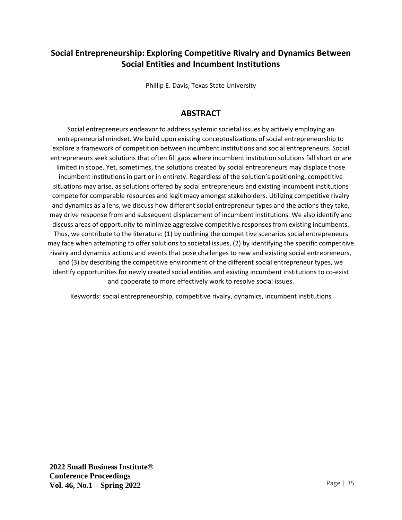# **Social Entrepreneurship: Exploring Competitive Rivalry and Dynamics Between Social Entities and Incumbent Institutions**

Phillip E. Davis, Texas State University

#### **ABSTRACT**

Social entrepreneurs endeavor to address systemic societal issues by actively employing an entrepreneurial mindset. We build upon existing conceptualizations of social entrepreneurship to explore a framework of competition between incumbent institutions and social entrepreneurs. Social entrepreneurs seek solutions that often fill gaps where incumbent institution solutions fall short or are limited in scope. Yet, sometimes, the solutions created by social entrepreneurs may displace those incumbent institutions in part or in entirety. Regardless of the solution's positioning, competitive situations may arise, as solutions offered by social entrepreneurs and existing incumbent institutions compete for comparable resources and legitimacy amongst stakeholders. Utilizing competitive rivalry and dynamics as a lens, we discuss how different social entrepreneur types and the actions they take, may drive response from and subsequent displacement of incumbent institutions. We also identify and discuss areas of opportunity to minimize aggressive competitive responses from existing incumbents. Thus, we contribute to the literature: (1) by outlining the competitive scenarios social entrepreneurs may face when attempting to offer solutions to societal issues, (2) by identifying the specific competitive rivalry and dynamics actions and events that pose challenges to new and existing social entrepreneurs, and (3) by describing the competitive environment of the different social entrepreneur types, we identify opportunities for newly created social entities and existing incumbent institutions to co-exist and cooperate to more effectively work to resolve social issues.

Keywords: social entrepreneurship, competitive rivalry, dynamics, incumbent institutions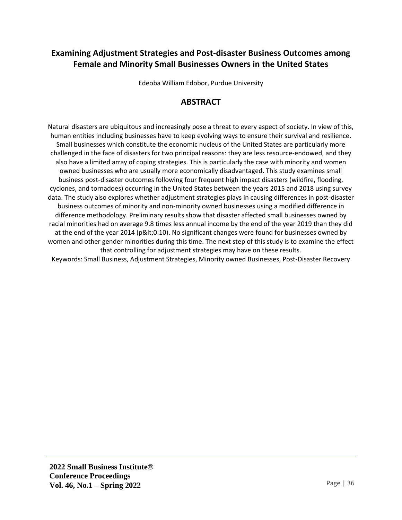# **Examining Adjustment Strategies and Post-disaster Business Outcomes among Female and Minority Small Businesses Owners in the United States**

Edeoba William Edobor, Purdue University

# **ABSTRACT**

Natural disasters are ubiquitous and increasingly pose a threat to every aspect of society. In view of this, human entities including businesses have to keep evolving ways to ensure their survival and resilience. Small businesses which constitute the economic nucleus of the United States are particularly more challenged in the face of disasters for two principal reasons: they are less resource-endowed, and they also have a limited array of coping strategies. This is particularly the case with minority and women owned businesses who are usually more economically disadvantaged. This study examines small business post-disaster outcomes following four frequent high impact disasters (wildfire, flooding, cyclones, and tornadoes) occurring in the United States between the years 2015 and 2018 using survey data. The study also explores whether adjustment strategies plays in causing differences in post-disaster business outcomes of minority and non-minority owned businesses using a modified difference in difference methodology. Preliminary results show that disaster affected small businesses owned by racial minorities had on average 9.8 times less annual income by the end of the year 2019 than they did at the end of the year 2014 (p<0.10). No significant changes were found for businesses owned by women and other gender minorities during this time. The next step of this study is to examine the effect that controlling for adjustment strategies may have on these results.

Keywords: Small Business, Adjustment Strategies, Minority owned Businesses, Post-Disaster Recovery